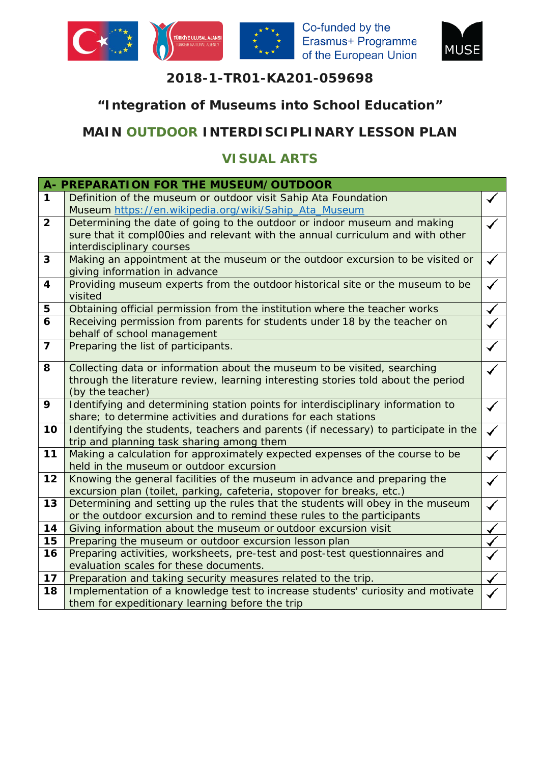



### **2018-1-TR01-KA201-059698**

## **"Integration of Museums into School Education"**

# **MAIN OUTDOOR INTERDISCIPLINARY LESSON PLAN**

## **VISUAL ARTS**

|                | A- PREPARATION FOR THE MUSEUM/OUTDOOR                                                               |  |  |  |  |  |
|----------------|-----------------------------------------------------------------------------------------------------|--|--|--|--|--|
| 1              | Definition of the museum or outdoor visit Sahip Ata Foundation                                      |  |  |  |  |  |
|                | Museum https://en.wikipedia.org/wiki/Sahip Ata Museum                                               |  |  |  |  |  |
| $\overline{2}$ | Determining the date of going to the outdoor or indoor museum and making                            |  |  |  |  |  |
|                | sure that it compl00ies and relevant with the annual curriculum and with other                      |  |  |  |  |  |
|                | interdisciplinary courses                                                                           |  |  |  |  |  |
| 3              | Making an appointment at the museum or the outdoor excursion to be visited or                       |  |  |  |  |  |
|                | giving information in advance                                                                       |  |  |  |  |  |
| 4              | Providing museum experts from the outdoor historical site or the museum to be                       |  |  |  |  |  |
|                | visited                                                                                             |  |  |  |  |  |
| 5              | Obtaining official permission from the institution where the teacher works                          |  |  |  |  |  |
| 6              | Receiving permission from parents for students under 18 by the teacher on                           |  |  |  |  |  |
|                | behalf of school management                                                                         |  |  |  |  |  |
| $\overline{7}$ | Preparing the list of participants.                                                                 |  |  |  |  |  |
|                |                                                                                                     |  |  |  |  |  |
| 8              | Collecting data or information about the museum to be visited, searching                            |  |  |  |  |  |
|                | through the literature review, learning interesting stories told about the period                   |  |  |  |  |  |
|                | (by the teacher)                                                                                    |  |  |  |  |  |
| 9              | Identifying and determining station points for interdisciplinary information to                     |  |  |  |  |  |
|                | share; to determine activities and durations for each stations                                      |  |  |  |  |  |
| 10             | Identifying the students, teachers and parents (if necessary) to participate in the<br>$\checkmark$ |  |  |  |  |  |
|                | trip and planning task sharing among them                                                           |  |  |  |  |  |
| 11             | Making a calculation for approximately expected expenses of the course to be                        |  |  |  |  |  |
|                | held in the museum or outdoor excursion                                                             |  |  |  |  |  |
| 12             | Knowing the general facilities of the museum in advance and preparing the                           |  |  |  |  |  |
|                | excursion plan (toilet, parking, cafeteria, stopover for breaks, etc.)                              |  |  |  |  |  |
| 13             | Determining and setting up the rules that the students will obey in the museum                      |  |  |  |  |  |
|                | or the outdoor excursion and to remind these rules to the participants                              |  |  |  |  |  |
| 14             | Giving information about the museum or outdoor excursion visit                                      |  |  |  |  |  |
| 15             | Preparing the museum or outdoor excursion lesson plan                                               |  |  |  |  |  |
| 16             | Preparing activities, worksheets, pre-test and post-test questionnaires and                         |  |  |  |  |  |
|                | evaluation scales for these documents.                                                              |  |  |  |  |  |
| 17             | Preparation and taking security measures related to the trip.                                       |  |  |  |  |  |
| 18             | Implementation of a knowledge test to increase students' curiosity and motivate                     |  |  |  |  |  |
|                | them for expeditionary learning before the trip                                                     |  |  |  |  |  |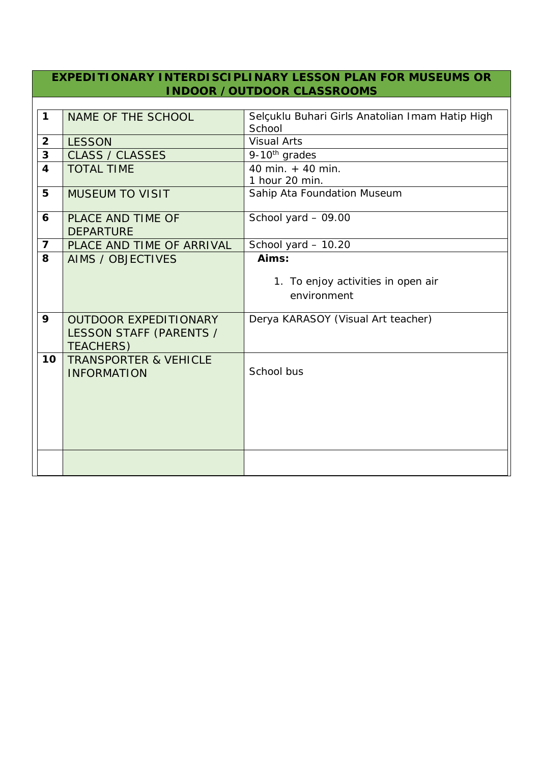#### **EXPEDITIONARY INTERDISCIPLINARY LESSON PLAN FOR MUSEUMS OR INDOOR /OUTDOOR CLASSROOMS**

| $\mathbf 1$             | NAME OF THE SCHOOL               | Selçuklu Buhari Girls Anatolian Imam Hatip High |  |
|-------------------------|----------------------------------|-------------------------------------------------|--|
|                         |                                  | School                                          |  |
| $\overline{2}$          | <b>LESSON</b>                    | <b>Visual Arts</b>                              |  |
| $\mathbf{3}$            | <b>CLASS / CLASSES</b>           | $\overline{9}$ -10 <sup>th</sup> grades         |  |
| $\overline{\mathbf{4}}$ | <b>TOTAL TIME</b>                | 40 min. + 40 min.                               |  |
|                         |                                  | 1 hour 20 min.                                  |  |
| 5                       | <b>MUSEUM TO VISIT</b>           | Sahip Ata Foundation Museum                     |  |
|                         |                                  |                                                 |  |
| 6                       | <b>PLACE AND TIME OF</b>         | School yard - 09.00                             |  |
|                         | <b>DEPARTURE</b>                 |                                                 |  |
| $\overline{7}$          | PLACE AND TIME OF ARRIVAL        | School yard - 10.20                             |  |
| 8                       | AIMS / OBJECTIVES                | Aims:                                           |  |
|                         |                                  |                                                 |  |
|                         |                                  | 1. To enjoy activities in open air              |  |
|                         |                                  | environment                                     |  |
| 9                       | <b>OUTDOOR EXPEDITIONARY</b>     | Derya KARASOY (Visual Art teacher)              |  |
|                         |                                  |                                                 |  |
|                         | LESSON STAFF (PARENTS /          |                                                 |  |
|                         | <b>TEACHERS)</b>                 |                                                 |  |
| 10                      | <b>TRANSPORTER &amp; VEHICLE</b> | School bus                                      |  |
|                         | <b>INFORMATION</b>               |                                                 |  |
|                         |                                  |                                                 |  |
|                         |                                  |                                                 |  |
|                         |                                  |                                                 |  |
|                         |                                  |                                                 |  |
|                         |                                  |                                                 |  |
|                         |                                  |                                                 |  |
|                         |                                  |                                                 |  |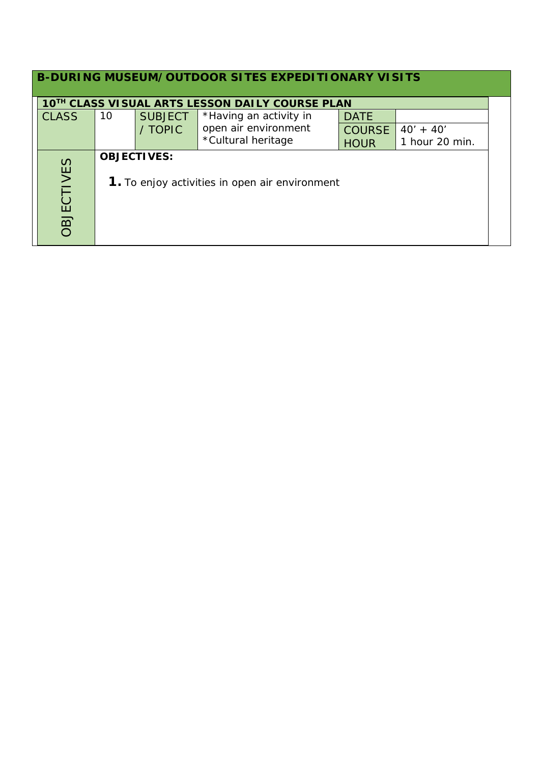| B-DURING MUSEUM/OUTDOOR SITES EXPEDITIONARY VISITS                                        |                                                 |                |                        |               |                |  |
|-------------------------------------------------------------------------------------------|-------------------------------------------------|----------------|------------------------|---------------|----------------|--|
|                                                                                           | 10TH CLASS VISUAL ARTS LESSON DAILY COURSE PLAN |                |                        |               |                |  |
| <b>CLASS</b>                                                                              | 10                                              | <b>SUBJECT</b> | *Having an activity in | <b>DATE</b>   |                |  |
|                                                                                           |                                                 | / TOPIC        | open air environment   | <b>COURSE</b> | $40' + 40'$    |  |
|                                                                                           |                                                 |                | *Cultural heritage     | <b>HOUR</b>   | 1 hour 20 min. |  |
| <b>OBJECTIVES:</b><br><b>DBJECTIVES</b><br>1. To enjoy activities in open air environment |                                                 |                |                        |               |                |  |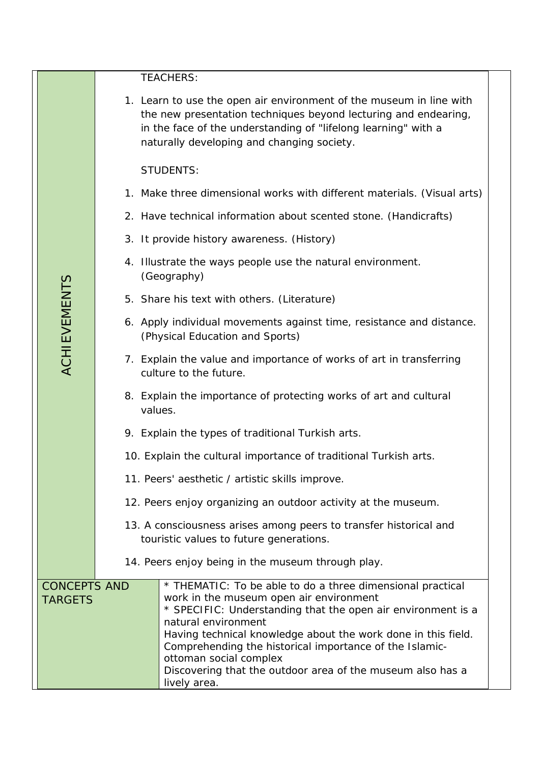|  |                                       | <b>TEACHERS:</b>                                                                                                                                                                                                                                                                                                                                                                                                                 |
|--|---------------------------------------|----------------------------------------------------------------------------------------------------------------------------------------------------------------------------------------------------------------------------------------------------------------------------------------------------------------------------------------------------------------------------------------------------------------------------------|
|  |                                       | 1. Learn to use the open air environment of the museum in line with<br>the new presentation techniques beyond lecturing and endearing,<br>in the face of the understanding of "lifelong learning" with a<br>naturally developing and changing society.                                                                                                                                                                           |
|  |                                       | <b>STUDENTS:</b>                                                                                                                                                                                                                                                                                                                                                                                                                 |
|  |                                       | 1. Make three dimensional works with different materials. (Visual arts)                                                                                                                                                                                                                                                                                                                                                          |
|  |                                       | 2. Have technical information about scented stone. (Handicrafts)                                                                                                                                                                                                                                                                                                                                                                 |
|  |                                       | 3. It provide history awareness. (History)                                                                                                                                                                                                                                                                                                                                                                                       |
|  |                                       | 4. Illustrate the ways people use the natural environment.<br>(Geography)                                                                                                                                                                                                                                                                                                                                                        |
|  |                                       | 5. Share his text with others. (Literature)                                                                                                                                                                                                                                                                                                                                                                                      |
|  | <b>ACHIEVEMENTS</b>                   | 6. Apply individual movements against time, resistance and distance.<br>(Physical Education and Sports)                                                                                                                                                                                                                                                                                                                          |
|  |                                       | 7. Explain the value and importance of works of art in transferring<br>culture to the future.                                                                                                                                                                                                                                                                                                                                    |
|  |                                       | 8. Explain the importance of protecting works of art and cultural<br>values.                                                                                                                                                                                                                                                                                                                                                     |
|  |                                       | 9. Explain the types of traditional Turkish arts.                                                                                                                                                                                                                                                                                                                                                                                |
|  |                                       | 10. Explain the cultural importance of traditional Turkish arts.                                                                                                                                                                                                                                                                                                                                                                 |
|  |                                       | 11. Peers' aesthetic / artistic skills improve.                                                                                                                                                                                                                                                                                                                                                                                  |
|  |                                       | 12. Peers enjoy organizing an outdoor activity at the museum.                                                                                                                                                                                                                                                                                                                                                                    |
|  |                                       | 13. A consciousness arises among peers to transfer historical and<br>touristic values to future generations.                                                                                                                                                                                                                                                                                                                     |
|  |                                       | 14. Peers enjoy being in the museum through play.                                                                                                                                                                                                                                                                                                                                                                                |
|  | <b>CONCEPTS AND</b><br><b>TARGETS</b> | * THEMATIC: To be able to do a three dimensional practical<br>work in the museum open air environment<br>* SPECIFIC: Understanding that the open air environment is a<br>natural environment<br>Having technical knowledge about the work done in this field.<br>Comprehending the historical importance of the Islamic-<br>ottoman social complex<br>Discovering that the outdoor area of the museum also has a<br>lively area. |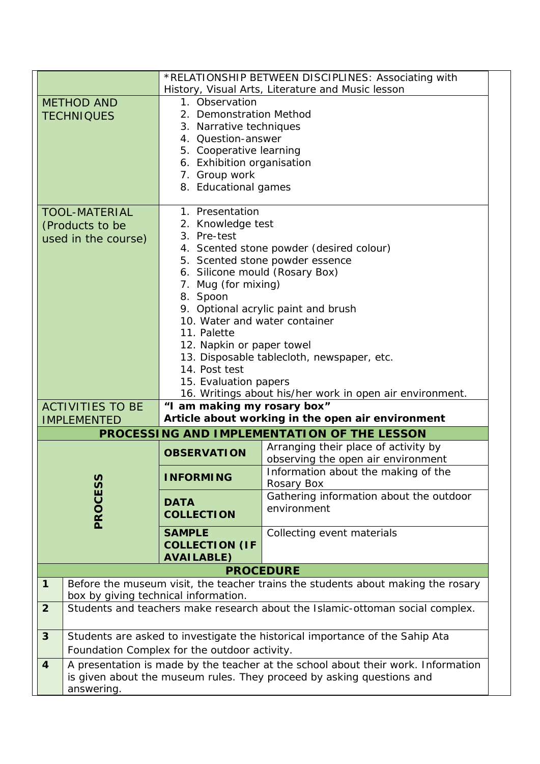|                         |                                                                                   | *RELATIONSHIP BETWEEN DISCIPLINES: Associating with |                                                                                  |  |  |
|-------------------------|-----------------------------------------------------------------------------------|-----------------------------------------------------|----------------------------------------------------------------------------------|--|--|
|                         |                                                                                   | History, Visual Arts, Literature and Music lesson   |                                                                                  |  |  |
|                         | <b>METHOD AND</b>                                                                 | 1. Observation                                      |                                                                                  |  |  |
|                         | <b>TECHNIQUES</b>                                                                 | 2. Demonstration Method                             |                                                                                  |  |  |
|                         |                                                                                   | 3. Narrative techniques                             |                                                                                  |  |  |
|                         |                                                                                   | 4. Question-answer                                  |                                                                                  |  |  |
|                         |                                                                                   | 5. Cooperative learning                             |                                                                                  |  |  |
|                         |                                                                                   | 6. Exhibition organisation                          |                                                                                  |  |  |
|                         |                                                                                   | 7. Group work                                       |                                                                                  |  |  |
|                         |                                                                                   | 8. Educational games                                |                                                                                  |  |  |
|                         | <b>TOOL-MATERIAL</b>                                                              | 1. Presentation                                     |                                                                                  |  |  |
|                         |                                                                                   | 2. Knowledge test                                   |                                                                                  |  |  |
|                         | (Products to be                                                                   | 3. Pre-test                                         |                                                                                  |  |  |
|                         | used in the course)                                                               |                                                     | 4. Scented stone powder (desired colour)                                         |  |  |
|                         |                                                                                   |                                                     | 5. Scented stone powder essence                                                  |  |  |
|                         |                                                                                   | 6. Silicone mould (Rosary Box)                      |                                                                                  |  |  |
|                         |                                                                                   | 7. Mug (for mixing)                                 |                                                                                  |  |  |
|                         |                                                                                   | 8. Spoon                                            |                                                                                  |  |  |
|                         |                                                                                   | 9. Optional acrylic paint and brush                 |                                                                                  |  |  |
|                         |                                                                                   | 10. Water and water container                       |                                                                                  |  |  |
|                         |                                                                                   | 11. Palette                                         |                                                                                  |  |  |
|                         |                                                                                   | 12. Napkin or paper towel                           |                                                                                  |  |  |
|                         |                                                                                   |                                                     | 13. Disposable tablecloth, newspaper, etc.                                       |  |  |
|                         |                                                                                   | 14. Post test                                       |                                                                                  |  |  |
|                         |                                                                                   | 15. Evaluation papers                               |                                                                                  |  |  |
|                         | 16. Writings about his/her work in open air environment.                          |                                                     |                                                                                  |  |  |
|                         | <b>ACTIVITIES TO BE</b>                                                           | "I am making my rosary box"                         | Article about working in the open air environment                                |  |  |
|                         | <b>IMPLEMENTED</b>                                                                |                                                     |                                                                                  |  |  |
|                         |                                                                                   |                                                     | PROCESSING AND IMPLEMENTATION OF THE LESSON                                      |  |  |
|                         |                                                                                   | <b>OBSERVATION</b>                                  | Arranging their place of activity by<br>observing the open air environment       |  |  |
|                         |                                                                                   |                                                     | Information about the making of the                                              |  |  |
|                         |                                                                                   | <b>INFORMING</b>                                    | Rosary Box                                                                       |  |  |
|                         |                                                                                   |                                                     | Gathering information about the outdoor                                          |  |  |
|                         |                                                                                   | <b>DATA</b>                                         | environment                                                                      |  |  |
|                         | PROCESS                                                                           | <b>COLLECTION</b>                                   |                                                                                  |  |  |
|                         |                                                                                   | <b>SAMPLE</b>                                       | Collecting event materials                                                       |  |  |
|                         |                                                                                   | <b>COLLECTION (IF</b>                               |                                                                                  |  |  |
|                         |                                                                                   | <b>AVAILABLE)</b>                                   |                                                                                  |  |  |
|                         | <b>PROCEDURE</b>                                                                  |                                                     |                                                                                  |  |  |
| $\mathbf{1}$            |                                                                                   |                                                     | Before the museum visit, the teacher trains the students about making the rosary |  |  |
|                         | box by giving technical information.                                              |                                                     |                                                                                  |  |  |
| $\overline{2}$          | Students and teachers make research about the Islamic-ottoman social complex.     |                                                     |                                                                                  |  |  |
| $\mathbf{3}$            | Students are asked to investigate the historical importance of the Sahip Ata      |                                                     |                                                                                  |  |  |
|                         | Foundation Complex for the outdoor activity.                                      |                                                     |                                                                                  |  |  |
| $\overline{\mathbf{4}}$ | A presentation is made by the teacher at the school about their work. Information |                                                     |                                                                                  |  |  |
|                         | is given about the museum rules. They proceed by asking questions and             |                                                     |                                                                                  |  |  |
|                         |                                                                                   |                                                     |                                                                                  |  |  |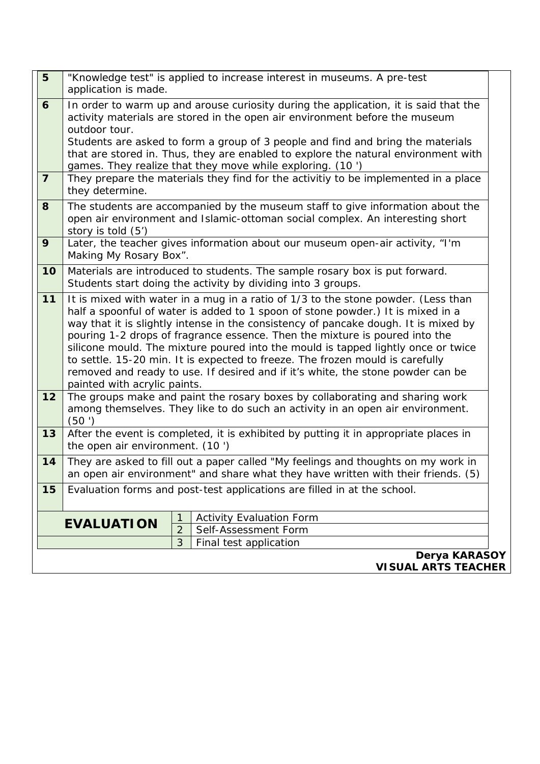| "Knowledge test" is applied to increase interest in museums. A pre-test                                                                                                                                                                                                                                                                                                                                                                                                                                                                                                                             |                                                                                                                                                                        |  |  |  |
|-----------------------------------------------------------------------------------------------------------------------------------------------------------------------------------------------------------------------------------------------------------------------------------------------------------------------------------------------------------------------------------------------------------------------------------------------------------------------------------------------------------------------------------------------------------------------------------------------------|------------------------------------------------------------------------------------------------------------------------------------------------------------------------|--|--|--|
| In order to warm up and arouse curiosity during the application, it is said that the                                                                                                                                                                                                                                                                                                                                                                                                                                                                                                                |                                                                                                                                                                        |  |  |  |
| activity materials are stored in the open air environment before the museum                                                                                                                                                                                                                                                                                                                                                                                                                                                                                                                         |                                                                                                                                                                        |  |  |  |
| Students are asked to form a group of 3 people and find and bring the materials                                                                                                                                                                                                                                                                                                                                                                                                                                                                                                                     |                                                                                                                                                                        |  |  |  |
| that are stored in. Thus, they are enabled to explore the natural environment with                                                                                                                                                                                                                                                                                                                                                                                                                                                                                                                  |                                                                                                                                                                        |  |  |  |
| games. They realize that they move while exploring. (10 ')<br>They prepare the materials they find for the activitiy to be implemented in a place                                                                                                                                                                                                                                                                                                                                                                                                                                                   |                                                                                                                                                                        |  |  |  |
| The students are accompanied by the museum staff to give information about the<br>open air environment and Islamic-ottoman social complex. An interesting short                                                                                                                                                                                                                                                                                                                                                                                                                                     |                                                                                                                                                                        |  |  |  |
| Later, the teacher gives information about our museum open-air activity, "I'm<br>Making My Rosary Box".                                                                                                                                                                                                                                                                                                                                                                                                                                                                                             |                                                                                                                                                                        |  |  |  |
| Materials are introduced to students. The sample rosary box is put forward.<br>Students start doing the activity by dividing into 3 groups.                                                                                                                                                                                                                                                                                                                                                                                                                                                         |                                                                                                                                                                        |  |  |  |
| It is mixed with water in a mug in a ratio of 1/3 to the stone powder. (Less than<br>half a spoonful of water is added to 1 spoon of stone powder.) It is mixed in a<br>way that it is slightly intense in the consistency of pancake dough. It is mixed by<br>pouring 1-2 drops of fragrance essence. Then the mixture is poured into the<br>silicone mould. The mixture poured into the mould is tapped lightly once or twice<br>to settle. 15-20 min. It is expected to freeze. The frozen mould is carefully<br>removed and ready to use. If desired and if it's white, the stone powder can be |                                                                                                                                                                        |  |  |  |
| The groups make and paint the rosary boxes by collaborating and sharing work<br>among themselves. They like to do such an activity in an open air environment.                                                                                                                                                                                                                                                                                                                                                                                                                                      |                                                                                                                                                                        |  |  |  |
|                                                                                                                                                                                                                                                                                                                                                                                                                                                                                                                                                                                                     | After the event is completed, it is exhibited by putting it in appropriate places in                                                                                   |  |  |  |
|                                                                                                                                                                                                                                                                                                                                                                                                                                                                                                                                                                                                     | They are asked to fill out a paper called "My feelings and thoughts on my work in<br>an open air environment" and share what they have written with their friends. (5) |  |  |  |
|                                                                                                                                                                                                                                                                                                                                                                                                                                                                                                                                                                                                     | Evaluation forms and post-test applications are filled in at the school.                                                                                               |  |  |  |
| <b>EVALUATION</b>                                                                                                                                                                                                                                                                                                                                                                                                                                                                                                                                                                                   | 1<br><b>Activity Evaluation Form</b>                                                                                                                                   |  |  |  |
|                                                                                                                                                                                                                                                                                                                                                                                                                                                                                                                                                                                                     |                                                                                                                                                                        |  |  |  |
|                                                                                                                                                                                                                                                                                                                                                                                                                                                                                                                                                                                                     | $\overline{2}$<br>Self-Assessment Form                                                                                                                                 |  |  |  |
|                                                                                                                                                                                                                                                                                                                                                                                                                                                                                                                                                                                                     | application is made.<br>outdoor tour.<br>they determine.<br>story is told (5')<br>painted with acrylic paints.<br>(50')<br>the open air environment. (10)              |  |  |  |